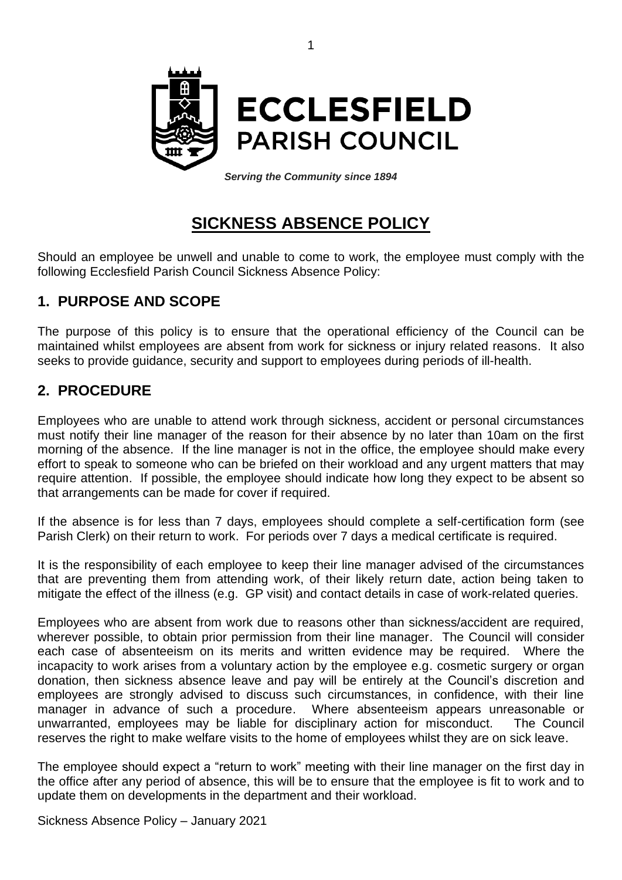

*Serving the Community since 1894*

# **SICKNESS ABSENCE POLICY**

Should an employee be unwell and unable to come to work, the employee must comply with the following Ecclesfield Parish Council Sickness Absence Policy:

# **1. PURPOSE AND SCOPE**

The purpose of this policy is to ensure that the operational efficiency of the Council can be maintained whilst employees are absent from work for sickness or injury related reasons. It also seeks to provide guidance, security and support to employees during periods of ill-health.

## **2. PROCEDURE**

Employees who are unable to attend work through sickness, accident or personal circumstances must notify their line manager of the reason for their absence by no later than 10am on the first morning of the absence. If the line manager is not in the office, the employee should make every effort to speak to someone who can be briefed on their workload and any urgent matters that may require attention. If possible, the employee should indicate how long they expect to be absent so that arrangements can be made for cover if required.

If the absence is for less than 7 days, employees should complete a self-certification form (see Parish Clerk) on their return to work. For periods over 7 days a medical certificate is required.

It is the responsibility of each employee to keep their line manager advised of the circumstances that are preventing them from attending work, of their likely return date, action being taken to mitigate the effect of the illness (e.g. GP visit) and contact details in case of work-related queries.

Employees who are absent from work due to reasons other than sickness/accident are required, wherever possible, to obtain prior permission from their line manager. The Council will consider each case of absenteeism on its merits and written evidence may be required. Where the incapacity to work arises from a voluntary action by the employee e.g. cosmetic surgery or organ donation, then sickness absence leave and pay will be entirely at the Council's discretion and employees are strongly advised to discuss such circumstances, in confidence, with their line manager in advance of such a procedure. Where absenteeism appears unreasonable or unwarranted, employees may be liable for disciplinary action for misconduct. The Council reserves the right to make welfare visits to the home of employees whilst they are on sick leave.

The employee should expect a "return to work" meeting with their line manager on the first day in the office after any period of absence, this will be to ensure that the employee is fit to work and to update them on developments in the department and their workload.

Sickness Absence Policy – January 2021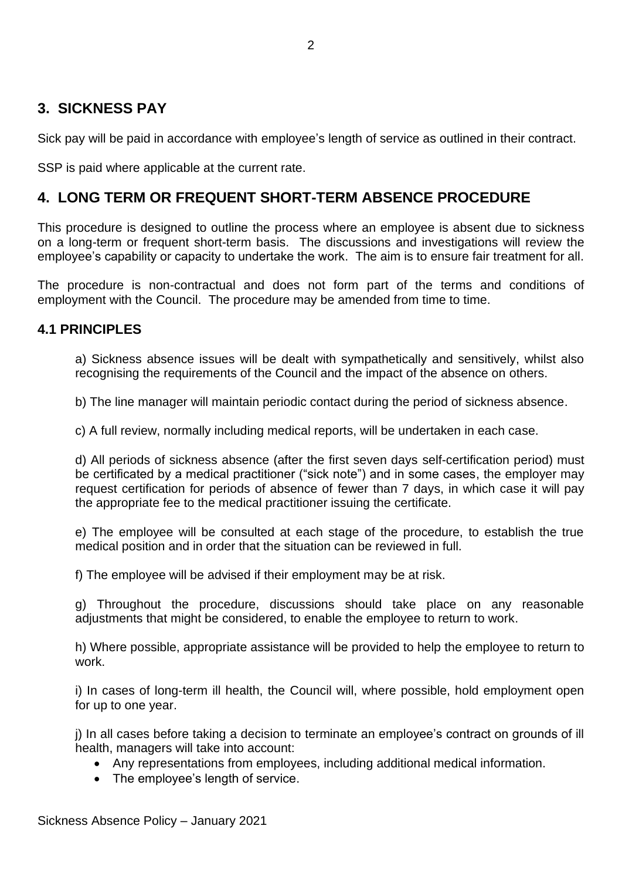# **3. SICKNESS PAY**

Sick pay will be paid in accordance with employee's length of service as outlined in their contract.

SSP is paid where applicable at the current rate.

### **4. LONG TERM OR FREQUENT SHORT-TERM ABSENCE PROCEDURE**

This procedure is designed to outline the process where an employee is absent due to sickness on a long-term or frequent short-term basis. The discussions and investigations will review the employee's capability or capacity to undertake the work. The aim is to ensure fair treatment for all.

The procedure is non-contractual and does not form part of the terms and conditions of employment with the Council. The procedure may be amended from time to time.

### **4.1 PRINCIPLES**

a) Sickness absence issues will be dealt with sympathetically and sensitively, whilst also recognising the requirements of the Council and the impact of the absence on others.

b) The line manager will maintain periodic contact during the period of sickness absence.

c) A full review, normally including medical reports, will be undertaken in each case.

d) All periods of sickness absence (after the first seven days self-certification period) must be certificated by a medical practitioner ("sick note") and in some cases, the employer may request certification for periods of absence of fewer than 7 days, in which case it will pay the appropriate fee to the medical practitioner issuing the certificate.

e) The employee will be consulted at each stage of the procedure, to establish the true medical position and in order that the situation can be reviewed in full.

f) The employee will be advised if their employment may be at risk.

g) Throughout the procedure, discussions should take place on any reasonable adjustments that might be considered, to enable the employee to return to work.

h) Where possible, appropriate assistance will be provided to help the employee to return to work.

i) In cases of long-term ill health, the Council will, where possible, hold employment open for up to one year.

j) In all cases before taking a decision to terminate an employee's contract on grounds of ill health, managers will take into account:

- Any representations from employees, including additional medical information.
- The employee's length of service.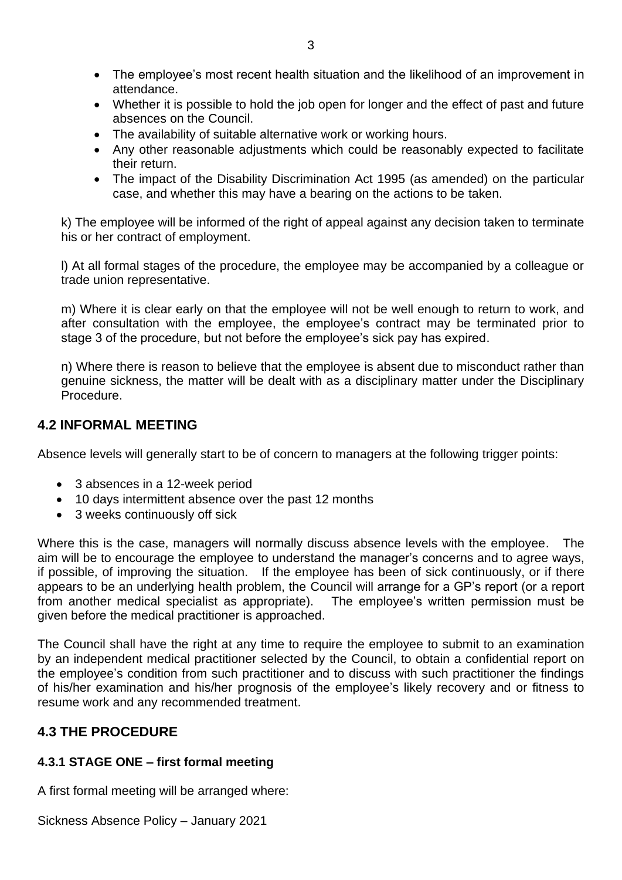- The employee's most recent health situation and the likelihood of an improvement in attendance.
- Whether it is possible to hold the job open for longer and the effect of past and future absences on the Council.
- The availability of suitable alternative work or working hours.
- Any other reasonable adjustments which could be reasonably expected to facilitate their return.
- The impact of the Disability Discrimination Act 1995 (as amended) on the particular case, and whether this may have a bearing on the actions to be taken.

k) The employee will be informed of the right of appeal against any decision taken to terminate his or her contract of employment.

l) At all formal stages of the procedure, the employee may be accompanied by a colleague or trade union representative.

m) Where it is clear early on that the employee will not be well enough to return to work, and after consultation with the employee, the employee's contract may be terminated prior to stage 3 of the procedure, but not before the employee's sick pay has expired.

n) Where there is reason to believe that the employee is absent due to misconduct rather than genuine sickness, the matter will be dealt with as a disciplinary matter under the Disciplinary Procedure.

#### **4.2 INFORMAL MEETING**

Absence levels will generally start to be of concern to managers at the following trigger points:

- 3 absences in a 12-week period
- 10 days intermittent absence over the past 12 months
- 3 weeks continuously off sick

Where this is the case, managers will normally discuss absence levels with the employee. The aim will be to encourage the employee to understand the manager's concerns and to agree ways, if possible, of improving the situation. If the employee has been of sick continuously, or if there appears to be an underlying health problem, the Council will arrange for a GP's report (or a report from another medical specialist as appropriate). The employee's written permission must be given before the medical practitioner is approached.

The Council shall have the right at any time to require the employee to submit to an examination by an independent medical practitioner selected by the Council, to obtain a confidential report on the employee's condition from such practitioner and to discuss with such practitioner the findings of his/her examination and his/her prognosis of the employee's likely recovery and or fitness to resume work and any recommended treatment.

### **4.3 THE PROCEDURE**

#### **4.3.1 STAGE ONE – first formal meeting**

A first formal meeting will be arranged where:

Sickness Absence Policy – January 2021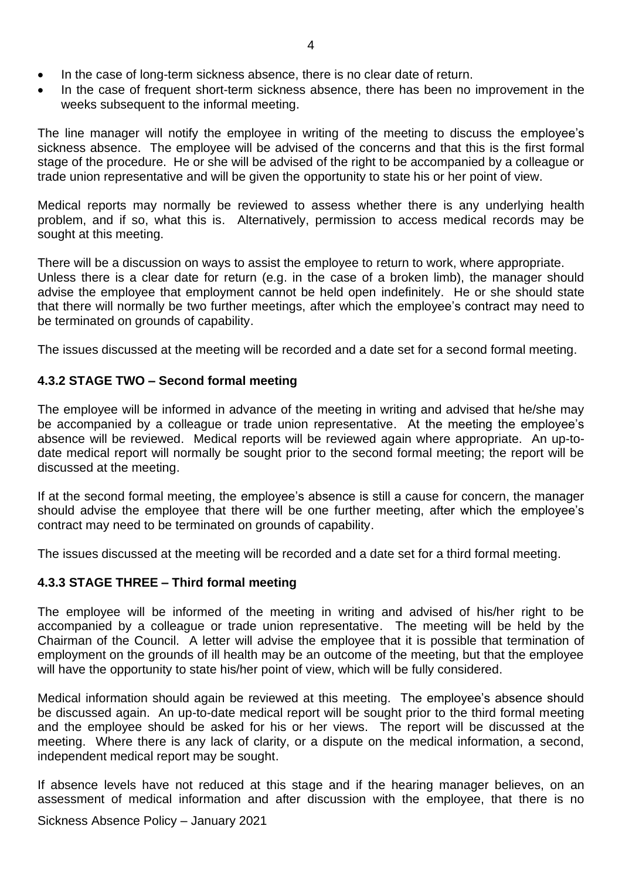- In the case of long-term sickness absence, there is no clear date of return.
- In the case of frequent short-term sickness absence, there has been no improvement in the weeks subsequent to the informal meeting.

The line manager will notify the employee in writing of the meeting to discuss the employee's sickness absence. The employee will be advised of the concerns and that this is the first formal stage of the procedure. He or she will be advised of the right to be accompanied by a colleague or trade union representative and will be given the opportunity to state his or her point of view.

Medical reports may normally be reviewed to assess whether there is any underlying health problem, and if so, what this is. Alternatively, permission to access medical records may be sought at this meeting.

There will be a discussion on ways to assist the employee to return to work, where appropriate. Unless there is a clear date for return (e.g. in the case of a broken limb), the manager should advise the employee that employment cannot be held open indefinitely. He or she should state that there will normally be two further meetings, after which the employee's contract may need to be terminated on grounds of capability.

The issues discussed at the meeting will be recorded and a date set for a second formal meeting.

### **4.3.2 STAGE TWO – Second formal meeting**

The employee will be informed in advance of the meeting in writing and advised that he/she may be accompanied by a colleague or trade union representative. At the meeting the employee's absence will be reviewed. Medical reports will be reviewed again where appropriate. An up-todate medical report will normally be sought prior to the second formal meeting; the report will be discussed at the meeting.

If at the second formal meeting, the employee's absence is still a cause for concern, the manager should advise the employee that there will be one further meeting, after which the employee's contract may need to be terminated on grounds of capability.

The issues discussed at the meeting will be recorded and a date set for a third formal meeting.

#### **4.3.3 STAGE THREE – Third formal meeting**

The employee will be informed of the meeting in writing and advised of his/her right to be accompanied by a colleague or trade union representative. The meeting will be held by the Chairman of the Council. A letter will advise the employee that it is possible that termination of employment on the grounds of ill health may be an outcome of the meeting, but that the employee will have the opportunity to state his/her point of view, which will be fully considered.

Medical information should again be reviewed at this meeting. The employee's absence should be discussed again. An up-to-date medical report will be sought prior to the third formal meeting and the employee should be asked for his or her views. The report will be discussed at the meeting. Where there is any lack of clarity, or a dispute on the medical information, a second, independent medical report may be sought.

If absence levels have not reduced at this stage and if the hearing manager believes, on an assessment of medical information and after discussion with the employee, that there is no

Sickness Absence Policy – January 2021